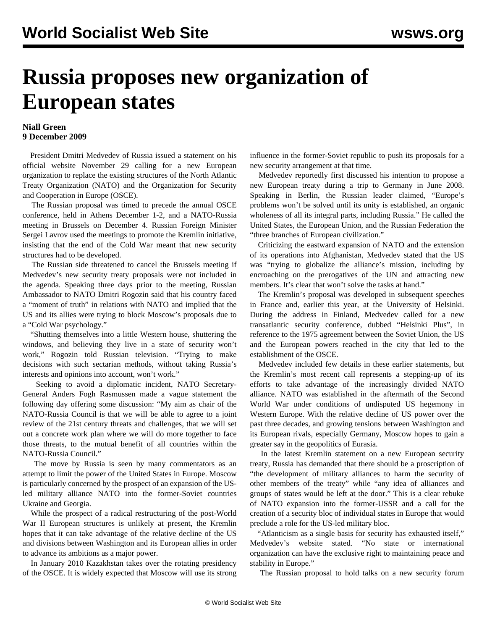## **Russia proposes new organization of European states**

## **Niall Green 9 December 2009**

 President Dmitri Medvedev of Russia issued a statement on his official website November 29 calling for a new European organization to replace the existing structures of the North Atlantic Treaty Organization (NATO) and the Organization for Security and Cooperation in Europe (OSCE).

 The Russian proposal was timed to precede the annual OSCE conference, held in Athens December 1-2, and a NATO-Russia meeting in Brussels on December 4. Russian Foreign Minister Sergei Lavrov used the meetings to promote the Kremlin initiative, insisting that the end of the Cold War meant that new security structures had to be developed.

 The Russian side threatened to cancel the Brussels meeting if Medvedev's new security treaty proposals were not included in the agenda. Speaking three days prior to the meeting, Russian Ambassador to NATO Dmitri Rogozin said that his country faced a "moment of truth" in relations with NATO and implied that the US and its allies were trying to block Moscow's proposals due to a "Cold War psychology."

 "Shutting themselves into a little Western house, shuttering the windows, and believing they live in a state of security won't work," Rogozin told Russian television. "Trying to make decisions with such sectarian methods, without taking Russia's interests and opinions into account, won't work."

 Seeking to avoid a diplomatic incident, NATO Secretary-General Anders Fogh Rasmussen made a vague statement the following day offering some discussion: "My aim as chair of the NATO-Russia Council is that we will be able to agree to a joint review of the 21st century threats and challenges, that we will set out a concrete work plan where we will do more together to face those threats, to the mutual benefit of all countries within the NATO-Russia Council."

 The move by Russia is seen by many commentators as an attempt to limit the power of the United States in Europe. Moscow is particularly concerned by the prospect of an expansion of the USled military alliance NATO into the former-Soviet countries Ukraine and Georgia.

 While the prospect of a radical restructuring of the post-World War II European structures is unlikely at present, the Kremlin hopes that it can take advantage of the relative decline of the US and divisions between Washington and its European allies in order to advance its ambitions as a major power.

 In January 2010 Kazakhstan takes over the rotating presidency of the OSCE. It is widely expected that Moscow will use its strong influence in the former-Soviet republic to push its proposals for a new security arrangement at that time.

 Medvedev reportedly first discussed his intention to propose a new European treaty during a trip to Germany in June 2008. Speaking in Berlin, the Russian leader claimed, "Europe's problems won't be solved until its unity is established, an organic wholeness of all its integral parts, including Russia." He called the United States, the European Union, and the Russian Federation the "three branches of European civilization."

 Criticizing the eastward expansion of NATO and the extension of its operations into Afghanistan, Medvedev stated that the US was "trying to globalize the alliance's mission, including by encroaching on the prerogatives of the UN and attracting new members. It's clear that won't solve the tasks at hand."

 The Kremlin's proposal was developed in subsequent speeches in France and, earlier this year, at the University of Helsinki. During the address in Finland, Medvedev called for a new transatlantic security conference, dubbed "Helsinki Plus", in reference to the 1975 agreement between the Soviet Union, the US and the European powers reached in the city that led to the establishment of the OSCE.

 Medvedev included few details in these earlier statements, but the Kremlin's most recent call represents a stepping-up of its efforts to take advantage of the increasingly divided NATO alliance. NATO was established in the aftermath of the Second World War under conditions of undisputed US hegemony in Western Europe. With the relative decline of US power over the past three decades, and growing tensions between Washington and its European rivals, especially Germany, Moscow hopes to gain a greater say in the geopolitics of Eurasia.

 In the latest Kremlin statement on a new European security treaty, Russia has demanded that there should be a proscription of "the development of military alliances to harm the security of other members of the treaty" while "any idea of alliances and groups of states would be left at the door." This is a clear rebuke of NATO expansion into the former-USSR and a call for the creation of a security bloc of individual states in Europe that would preclude a role for the US-led military bloc.

 "Atlanticism as a single basis for security has exhausted itself," Medvedev's website stated. "No state or international organization can have the exclusive right to maintaining peace and stability in Europe."

The Russian proposal to hold talks on a new security forum